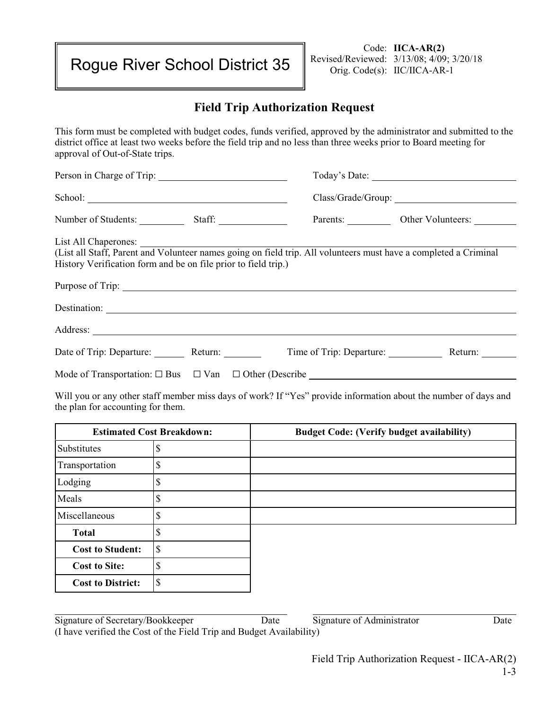Rogue River School District 35

Code: **IICA-AR(2)** Revised/Reviewed: 3/13/08; 4/09; 3/20/18 Orig. Code(s): IIC/IICA-AR-1

## **Field Trip Authorization Request**

This form must be completed with budget codes, funds verified, approved by the administrator and submitted to the district office at least two weeks before the field trip and no less than three weeks prior to Board meeting for approval of Out-of-State trips.

| School: 2000 Changes and 2000 Changes and 2000 Changes and 2000 Changes and 2000 Changes and 2000 Changes and 2000 Changes and 2000 Changes and 2000 Changes and 2000 Changes and 2000 Changes and 2000 Changes and 2000 Chang |  |                                                                                                                                                                                                                |                            |  |
|--------------------------------------------------------------------------------------------------------------------------------------------------------------------------------------------------------------------------------|--|----------------------------------------------------------------------------------------------------------------------------------------------------------------------------------------------------------------|----------------------------|--|
|                                                                                                                                                                                                                                |  |                                                                                                                                                                                                                |                            |  |
|                                                                                                                                                                                                                                |  |                                                                                                                                                                                                                | Parents: Other Volunteers: |  |
|                                                                                                                                                                                                                                |  | List All Chaperones: Unit All Chaperones: Unit All volunteers must have a completed a Criminal Unit all Staff, Parent and Volunteer names going on field trip. All volunteers must have a completed a Criminal |                            |  |
|                                                                                                                                                                                                                                |  |                                                                                                                                                                                                                |                            |  |
| History Verification form and be on file prior to field trip.)                                                                                                                                                                 |  |                                                                                                                                                                                                                |                            |  |
|                                                                                                                                                                                                                                |  | Purpose of Trip:                                                                                                                                                                                               |                            |  |
|                                                                                                                                                                                                                                |  |                                                                                                                                                                                                                |                            |  |
|                                                                                                                                                                                                                                |  |                                                                                                                                                                                                                |                            |  |
|                                                                                                                                                                                                                                |  | Date of Trip: Departure: Return: Return: Time of Trip: Departure: Return:                                                                                                                                      |                            |  |
|                                                                                                                                                                                                                                |  |                                                                                                                                                                                                                |                            |  |
|                                                                                                                                                                                                                                |  | Will you or any other staff member miss days of work? If "Ves" provide information about the number of days and                                                                                                |                            |  |

Will you or any other staff member miss days of work? If "Yes" provide information about the number of days and the plan for accounting for them.

| <b>Estimated Cost Breakdown:</b> |         | <b>Budget Code: (Verify budget availability)</b> |  |
|----------------------------------|---------|--------------------------------------------------|--|
| Substitutes                      |         |                                                  |  |
| Transportation                   | ሖ<br>D  |                                                  |  |
| Lodging                          | ሖ<br>۰D |                                                  |  |
| Meals                            | ሖ       |                                                  |  |
| Miscellaneous                    | Φ<br>۰D |                                                  |  |
| <b>Total</b>                     | Φ       |                                                  |  |
| <b>Cost to Student:</b>          | ¢<br>D  |                                                  |  |
| <b>Cost to Site:</b>             | ₼       |                                                  |  |
| <b>Cost to District:</b>         | ¢<br>D  |                                                  |  |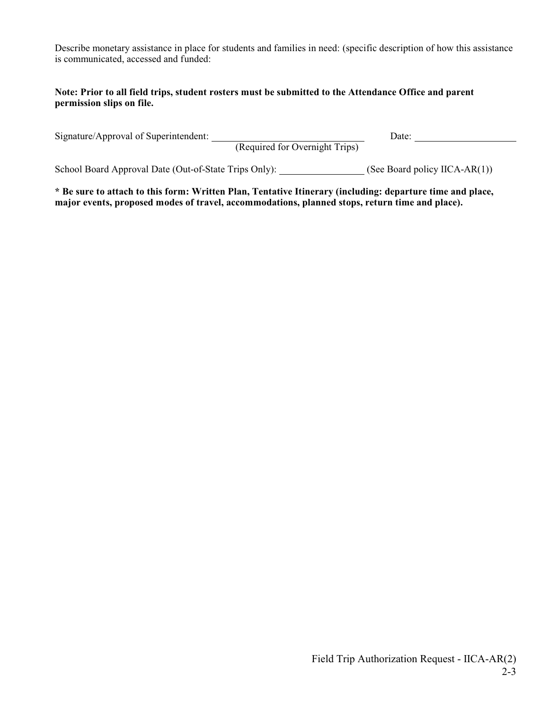Describe monetary assistance in place for students and families in need: (specific description of how this assistance is communicated, accessed and funded:

## **Note: Prior to all field trips, student rosters must be submitted to the Attendance Office and parent permission slips on file.**

| Signature/Approval of Superintendent:<br>(Required for Overnight Trips) | Date:                             |
|-------------------------------------------------------------------------|-----------------------------------|
| School Board Approval Date (Out-of-State Trips Only):                   | (See Board policy IICA-AR $(1)$ ) |

**\* Be sure to attach to this form: Written Plan, Tentative Itinerary (including: departure time and place, major events, proposed modes of travel, accommodations, planned stops, return time and place).**